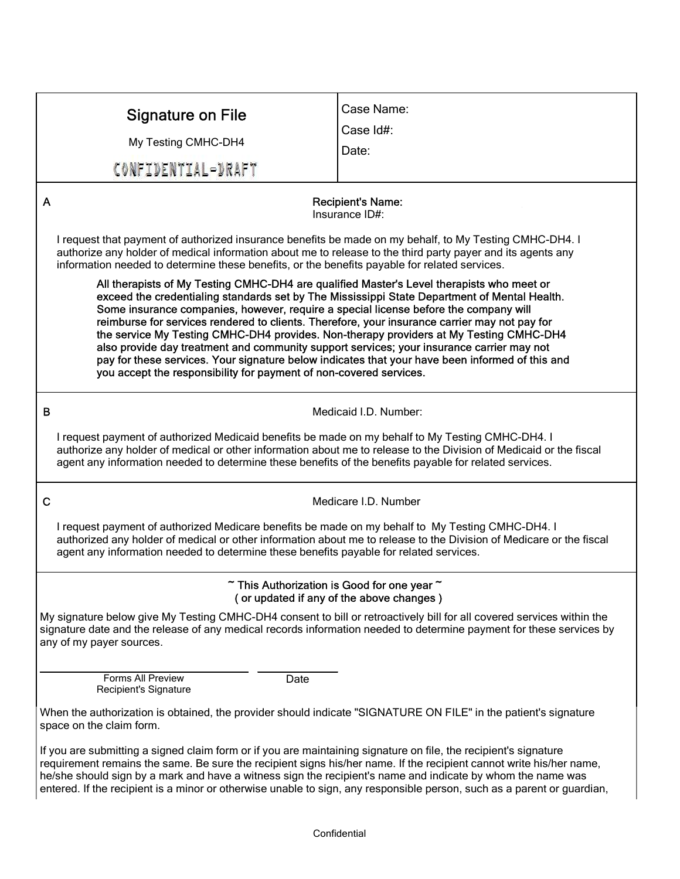| <b>Signature on File</b>                                                                                                                                                                                                                                                                                                                                                                                                                                                                                                                                                                                                                                                                                                                           | Case Name: |
|----------------------------------------------------------------------------------------------------------------------------------------------------------------------------------------------------------------------------------------------------------------------------------------------------------------------------------------------------------------------------------------------------------------------------------------------------------------------------------------------------------------------------------------------------------------------------------------------------------------------------------------------------------------------------------------------------------------------------------------------------|------------|
| My Testing CMHC-DH4                                                                                                                                                                                                                                                                                                                                                                                                                                                                                                                                                                                                                                                                                                                                | Case Id#:  |
| CONFIDENTIAL-DRAFT                                                                                                                                                                                                                                                                                                                                                                                                                                                                                                                                                                                                                                                                                                                                 | Date:      |
|                                                                                                                                                                                                                                                                                                                                                                                                                                                                                                                                                                                                                                                                                                                                                    |            |
| A<br><b>Recipient's Name:</b><br>Insurance ID#:                                                                                                                                                                                                                                                                                                                                                                                                                                                                                                                                                                                                                                                                                                    |            |
| I request that payment of authorized insurance benefits be made on my behalf, to My Testing CMHC-DH4. I<br>authorize any holder of medical information about me to release to the third party payer and its agents any<br>information needed to determine these benefits, or the benefits payable for related services.                                                                                                                                                                                                                                                                                                                                                                                                                            |            |
| All therapists of My Testing CMHC-DH4 are qualified Master's Level therapists who meet or<br>exceed the credentialing standards set by The Mississippi State Department of Mental Health.<br>Some insurance companies, however, require a special license before the company will<br>reimburse for services rendered to clients. Therefore, your insurance carrier may not pay for<br>the service My Testing CMHC-DH4 provides. Non-therapy providers at My Testing CMHC-DH4<br>also provide day treatment and community support services; your insurance carrier may not<br>pay for these services. Your signature below indicates that your have been informed of this and<br>you accept the responsibility for payment of non-covered services. |            |
| B<br>Medicaid I.D. Number:                                                                                                                                                                                                                                                                                                                                                                                                                                                                                                                                                                                                                                                                                                                         |            |
| I request payment of authorized Medicaid benefits be made on my behalf to My Testing CMHC-DH4. I<br>authorize any holder of medical or other information about me to release to the Division of Medicaid or the fiscal<br>agent any information needed to determine these benefits of the benefits payable for related services.                                                                                                                                                                                                                                                                                                                                                                                                                   |            |
| $\mathbf C$<br>Medicare I.D. Number                                                                                                                                                                                                                                                                                                                                                                                                                                                                                                                                                                                                                                                                                                                |            |
| I request payment of authorized Medicare benefits be made on my behalf to My Testing CMHC-DH4. I<br>authorized any holder of medical or other information about me to release to the Division of Medicare or the fiscal<br>agent any information needed to determine these benefits payable for related services.                                                                                                                                                                                                                                                                                                                                                                                                                                  |            |
| $\tilde{ }$ This Authorization is Good for one year $\tilde{ }$<br>(or updated if any of the above changes)                                                                                                                                                                                                                                                                                                                                                                                                                                                                                                                                                                                                                                        |            |
| My signature below give My Testing CMHC-DH4 consent to bill or retroactively bill for all covered services within the<br>signature date and the release of any medical records information needed to determine payment for these services by<br>any of my payer sources.                                                                                                                                                                                                                                                                                                                                                                                                                                                                           |            |
| Forms All Preview<br>Date<br>Recipient's Signature                                                                                                                                                                                                                                                                                                                                                                                                                                                                                                                                                                                                                                                                                                 |            |
| When the authorization is obtained, the provider should indicate "SIGNATURE ON FILE" in the patient's signature<br>space on the claim form.                                                                                                                                                                                                                                                                                                                                                                                                                                                                                                                                                                                                        |            |
| If you are submitting a signed claim form or if you are maintaining signature on file, the recipient's signature<br>requirement remains the same. Be sure the recipient signs his/her name. If the recipient cannot write his/her name,<br>he/she should sign by a mark and have a witness sign the recipient's name and indicate by whom the name was<br>entered. If the recipient is a minor or otherwise unable to sign, any responsible person, such as a parent or guardian,                                                                                                                                                                                                                                                                  |            |